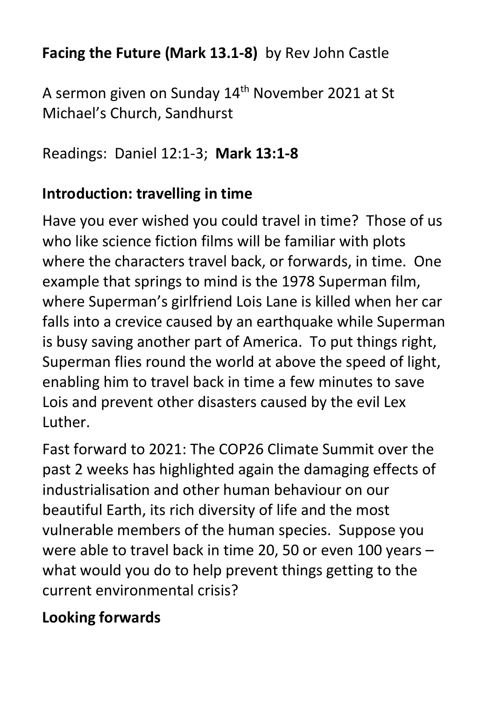#### **Facing the Future (Mark 13.1-8)** by Rev John Castle

A sermon given on Sunday 14<sup>th</sup> November 2021 at St Michael's Church, Sandhurst

Readings: Daniel 12:1-3; **Mark 13:1-8**

### **Introduction: travelling in time**

Have you ever wished you could travel in time? Those of us who like science fiction films will be familiar with plots where the characters travel back, or forwards, in time. One example that springs to mind is the 1978 Superman film, where Superman's girlfriend Lois Lane is killed when her car falls into a crevice caused by an earthquake while Superman is busy saving another part of America. To put things right, Superman flies round the world at above the speed of light, enabling him to travel back in time a few minutes to save Lois and prevent other disasters caused by the evil Lex Luther.

Fast forward to 2021: The COP26 Climate Summit over the past 2 weeks has highlighted again the damaging effects of industrialisation and other human behaviour on our beautiful Earth, its rich diversity of life and the most vulnerable members of the human species. Suppose you were able to travel back in time 20, 50 or even 100 years – what would you do to help prevent things getting to the current environmental crisis?

# **Looking forwards**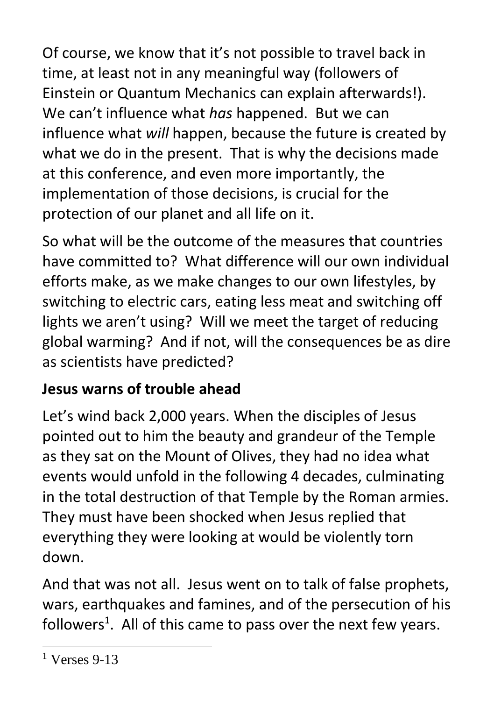Of course, we know that it's not possible to travel back in time, at least not in any meaningful way (followers of Einstein or Quantum Mechanics can explain afterwards!). We can't influence what *has* happened. But we can influence what *will* happen, because the future is created by what we do in the present. That is why the decisions made at this conference, and even more importantly, the implementation of those decisions, is crucial for the protection of our planet and all life on it.

So what will be the outcome of the measures that countries have committed to? What difference will our own individual efforts make, as we make changes to our own lifestyles, by switching to electric cars, eating less meat and switching off lights we aren't using? Will we meet the target of reducing global warming? And if not, will the consequences be as dire as scientists have predicted?

## **Jesus warns of trouble ahead**

Let's wind back 2,000 years. When the disciples of Jesus pointed out to him the beauty and grandeur of the Temple as they sat on the Mount of Olives, they had no idea what events would unfold in the following 4 decades, culminating in the total destruction of that Temple by the Roman armies. They must have been shocked when Jesus replied that everything they were looking at would be violently torn down.

And that was not all. Jesus went on to talk of false prophets, wars, earthquakes and famines, and of the persecution of his followers<sup>1</sup>. All of this came to pass over the next few years.

<sup>1</sup> Verses 9-13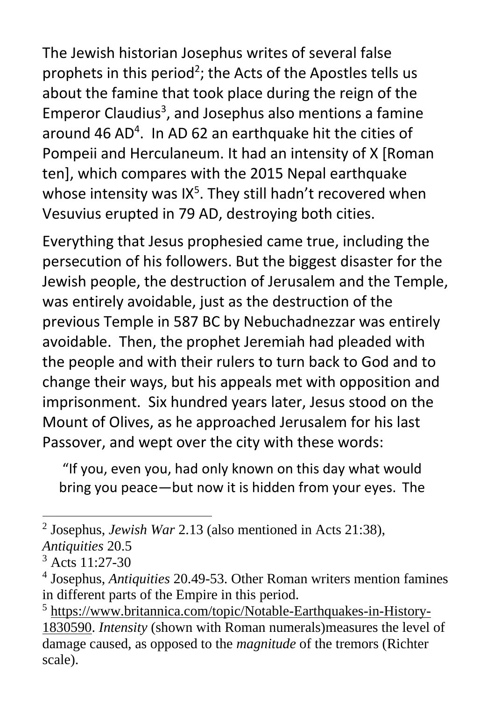The Jewish historian Josephus writes of several false prophets in this period<sup>2</sup>; the Acts of the Apostles tells us about the famine that took place during the reign of the Emperor Claudius<sup>3</sup>, and Josephus also mentions a famine around 46 AD<sup>4</sup>. In AD 62 an earthquake hit the cities of Pompeii and Herculaneum. It had an intensity of X [Roman ten], which compares with the 2015 Nepal earthquake whose intensity was IX $5$ . They still hadn't recovered when Vesuvius erupted in 79 AD, destroying both cities.

Everything that Jesus prophesied came true, including the persecution of his followers. But the biggest disaster for the Jewish people, the destruction of Jerusalem and the Temple, was entirely avoidable, just as the destruction of the previous Temple in 587 BC by Nebuchadnezzar was entirely avoidable. Then, the prophet Jeremiah had pleaded with the people and with their rulers to turn back to God and to change their ways, but his appeals met with opposition and imprisonment. Six hundred years later, Jesus stood on the Mount of Olives, as he approached Jerusalem for his last Passover, and wept over the city with these words:

"If you, even you, had only known on this day what would bring you peace—but now it is hidden from your eyes. The

<sup>2</sup> Josephus, *Jewish War* 2.13 (also mentioned in Acts 21:38), *Antiquities* 20.5

 $3$  Acts 11:27-30

<sup>4</sup> Josephus, *Antiquities* 20.49-53. Other Roman writers mention famines in different parts of the Empire in this period.

<sup>5</sup> [https://www.britannica.com/topic/Notable-Earthquakes-in-History-](https://www.britannica.com/topic/Notable-Earthquakes-in-History-1830590)[1830590.](https://www.britannica.com/topic/Notable-Earthquakes-in-History-1830590) *Intensity* (shown with Roman numerals)measures the level of damage caused, as opposed to the *magnitude* of the tremors (Richter scale).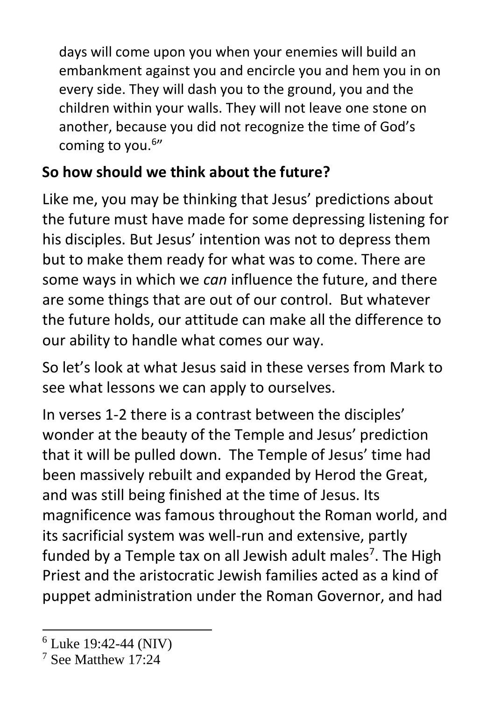days will come upon you when your enemies will build an embankment against you and encircle you and hem you in on every side. They will dash you to the ground, you and the children within your walls. They will not leave one stone on another, because you did not recognize the time of God's coming to you.<sup>6</sup>"

## **So how should we think about the future?**

Like me, you may be thinking that Jesus' predictions about the future must have made for some depressing listening for his disciples. But Jesus' intention was not to depress them but to make them ready for what was to come. There are some ways in which we *can* influence the future, and there are some things that are out of our control. But whatever the future holds, our attitude can make all the difference to our ability to handle what comes our way.

So let's look at what Jesus said in these verses from Mark to see what lessons we can apply to ourselves.

In verses 1-2 there is a contrast between the disciples' wonder at the beauty of the Temple and Jesus' prediction that it will be pulled down. The Temple of Jesus' time had been massively rebuilt and expanded by Herod the Great, and was still being finished at the time of Jesus. Its magnificence was famous throughout the Roman world, and its sacrificial system was well-run and extensive, partly funded by a Temple tax on all Jewish adult males<sup>7</sup>. The High Priest and the aristocratic Jewish families acted as a kind of puppet administration under the Roman Governor, and had

 $6$  Luke 19:42-44 (NIV)

<sup>7</sup> See Matthew 17:24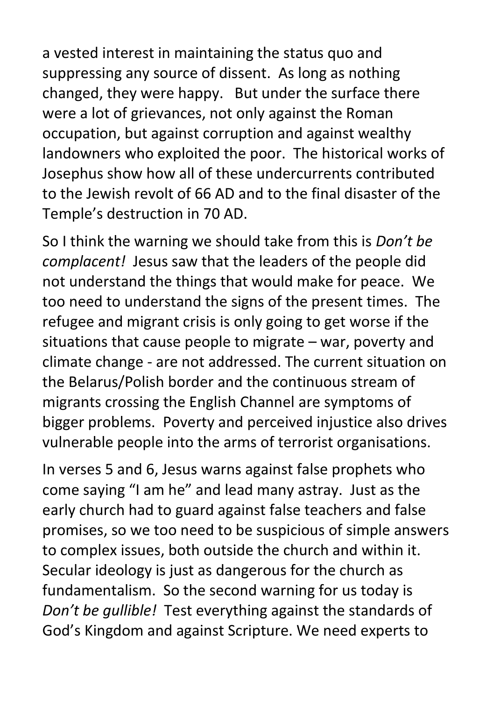a vested interest in maintaining the status quo and suppressing any source of dissent. As long as nothing changed, they were happy. But under the surface there were a lot of grievances, not only against the Roman occupation, but against corruption and against wealthy landowners who exploited the poor. The historical works of Josephus show how all of these undercurrents contributed to the Jewish revolt of 66 AD and to the final disaster of the Temple's destruction in 70 AD.

So I think the warning we should take from this is *Don't be complacent!* Jesus saw that the leaders of the people did not understand the things that would make for peace. We too need to understand the signs of the present times. The refugee and migrant crisis is only going to get worse if the situations that cause people to migrate – war, poverty and climate change - are not addressed. The current situation on the Belarus/Polish border and the continuous stream of migrants crossing the English Channel are symptoms of bigger problems. Poverty and perceived injustice also drives vulnerable people into the arms of terrorist organisations.

In verses 5 and 6, Jesus warns against false prophets who come saying "I am he" and lead many astray. Just as the early church had to guard against false teachers and false promises, so we too need to be suspicious of simple answers to complex issues, both outside the church and within it. Secular ideology is just as dangerous for the church as fundamentalism. So the second warning for us today is *Don't be gullible!* Test everything against the standards of God's Kingdom and against Scripture. We need experts to